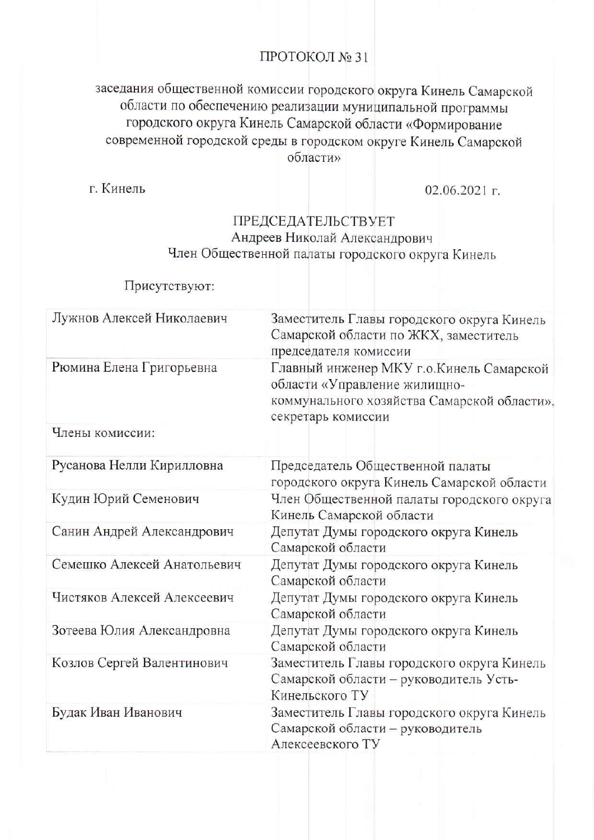# ПРОТОКОЛ № 31

# заседания общественной комиссии городского округа Кинель Самарской области по обеспечению реализации муниципальной программы городского округа Кинель Самарской области «Формирование современной городской среды в городском округе Кинель Самарской области»

г. Кинель

02.06.2021 г.

### ПРЕДСЕДАТЕЛЬСТВУЕТ Андреев Николай Александрович Член Общественной палаты городского округа Кинель

# Присутствуют:

| Лужнов Алексей Николаевич   | Заместитель Главы городского округа Кинель<br>Самарской области по ЖКХ, заместитель<br>председателя комиссии                                   |  |
|-----------------------------|------------------------------------------------------------------------------------------------------------------------------------------------|--|
| Рюмина Елена Григорьевна    | Главный инженер МКУ г.о. Кинель Самарской<br>области «Управление жилищно-<br>коммунального хозяйства Самарской области»,<br>секретарь комиссии |  |
| Члены комиссии:             |                                                                                                                                                |  |
| Русанова Нелли Кирилловна   | Председатель Общественной палаты<br>городского округа Кинель Самарской области                                                                 |  |
| Кудин Юрий Семенович        | Член Общественной палаты городского округа<br>Кинель Самарской области                                                                         |  |
| Санин Андрей Александрович  | Депутат Думы городского округа Кинель<br>Самарской области                                                                                     |  |
| Семешко Алексей Анатольевич | Депутат Думы городского округа Кинель<br>Самарской области                                                                                     |  |
| Чистяков Алексей Алексеевич | Депутат Думы городского округа Кинель<br>Самарской области                                                                                     |  |
| Зотеева Юлия Александровна  | Депутат Думы городского округа Кинель<br>Самарской области                                                                                     |  |
| Козлов Сергей Валентинович  | Заместитель Главы городского округа Кинель<br>Самарской области - руководитель Усть-<br>Кинельского ТУ                                         |  |
| Будак Иван Иванович         | Заместитель Главы городского округа Кинель<br>Самарской области - руководитель<br>Алексеевского ТУ                                             |  |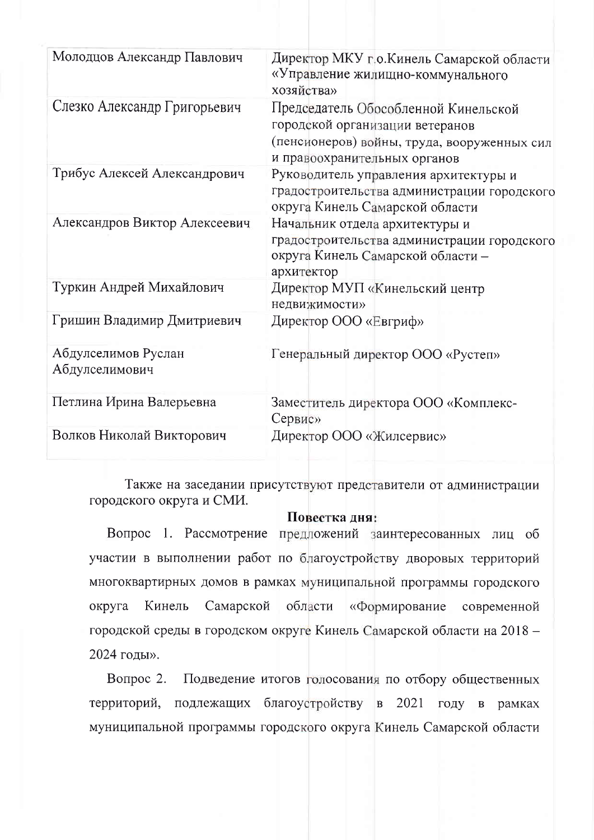| Молодцов Александр Павлович           | Директор МКУ г.о.Кинель Самарской области<br>«Управление жилищно-коммунального<br>хозяйства»                                                           |
|---------------------------------------|--------------------------------------------------------------------------------------------------------------------------------------------------------|
| Слезко Александр Григорьевич          | Председатель Обособленной Кинельской<br>городской организации ветеранов<br>(пенсионеров) войны, труда, вооруженных сил<br>и правоохранительных органов |
| Трибус Алексей Александрович          | Руководитель управления архитектуры и<br>градостроительства администрации городского<br>округа Кинель Самарской области                                |
| Александров Виктор Алексеевич         | Начальник отдела архитектуры и<br>градостроительства администрации городского<br>округа Кинель Самарской области -<br>архитектор                       |
| Туркин Андрей Михайлович              | Директор МУП «Кинельский центр<br>недвижимости»                                                                                                        |
| Гришин Владимир Дмитриевич            | Директор ООО «Евгриф»                                                                                                                                  |
| Абдулселимов Руслан<br>Абдулселимович | Генеральный директор ООО «Рустеп»                                                                                                                      |
| Петлина Ирина Валерьевна              | Заместитель директора ООО «Комплекс-<br>Сервис»                                                                                                        |
| Волков Николай Викторович             | Директор ООО «Жилсервис»                                                                                                                               |

Также на заседании присутствуют представители от администрации городского округа и СМИ.

#### Повестка дня:

Вопрос 1. Рассмотрение предложений заинтересованных лиц об участии в выполнении работ по благоустройству дворовых территорий многоквартирных домов в рамках муниципальной программы городского Самарской округа Кинель области «Формирование современной городской среды в городском округе Кинель Самарской области на 2018 -2024 годы».

Подведение итогов голосования по отбору общественных Вопрос  $2$ . территорий, подлежащих благоустройству в 2021 году в рамках муниципальной программы городского округа Кинель Самарской области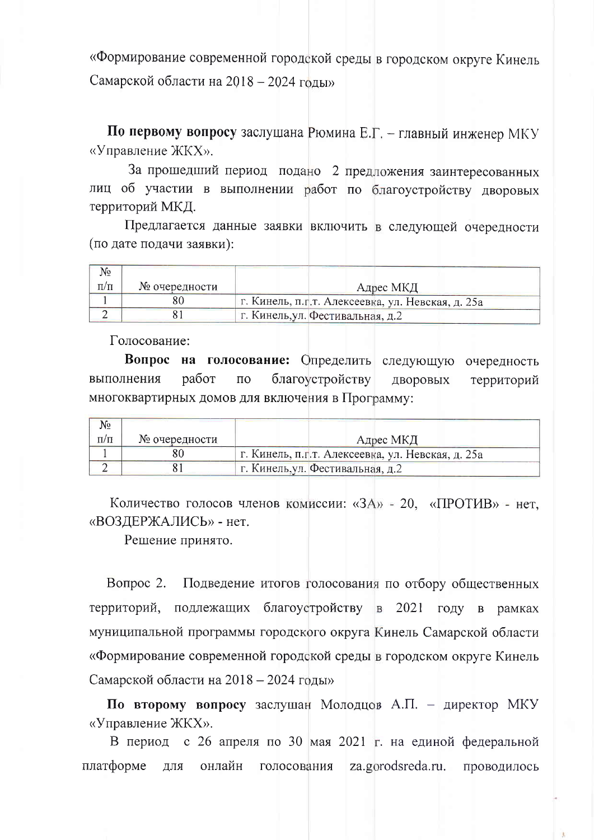«Формирование современной городской среды в городском округе Кинель Самарской области на 2018 - 2024 годы»

По первому вопросу заслушана Рюмина Е.Г. - главный инженер МКУ «Управление ЖКХ».

За прошедший период подано 2 предложения заинтересованных лиц об участии в выполнении работ по благоустройству дворовых территорий МКД.

Предлагается данные заявки включить в следующей очередности (по дате подачи заявки):

| No        |               |                                                    |
|-----------|---------------|----------------------------------------------------|
| $\pi/\pi$ | № очередности | Адрес МКД                                          |
|           |               | г. Кинель, п.г. т. Алексеевка, ул. Невская, д. 25а |
|           |               | г. Кинель, ул. Фестивальная, д.2                   |

Голосование:

Вопрос на голосование: Определить следующую очередность работ благоустройству выполнения  $\Pi$ O ДВОРОВЫХ территорий многоквартирных домов для включения в Программу:

| N₫        |               |                                                   |
|-----------|---------------|---------------------------------------------------|
| $\Pi/\Pi$ | № очередности | Адрес МКД                                         |
|           |               | г. Кинель, п.г.т. Алексеевка, ул. Невская, д. 25а |
|           |               | г. Кинель, ул. Фестивальная, д.2                  |

Количество голосов членов комиссии: «ЗА» - 20, «ПРОТИВ» - нет, «ВОЗДЕРЖАЛИСЬ» - нет.

Решение принято.

Вопрос 2. Подведение итогов голосования по отбору общественных территорий, подлежащих благоустройству в 2021 году в рамках муниципальной программы городского округа Кинель Самарской области «Формирование современной городской среды в городском округе Кинель Самарской области на 2018 – 2024 годы»

По второму вопросу заслушан Молодцов А.П. - директор МКУ «Управление ЖКХ».

В период с 26 апреля по 30 мая 2021 г. на единой федеральной платформе онлайн za.gorodsreda.ru. проводилось ДЛЯ голосования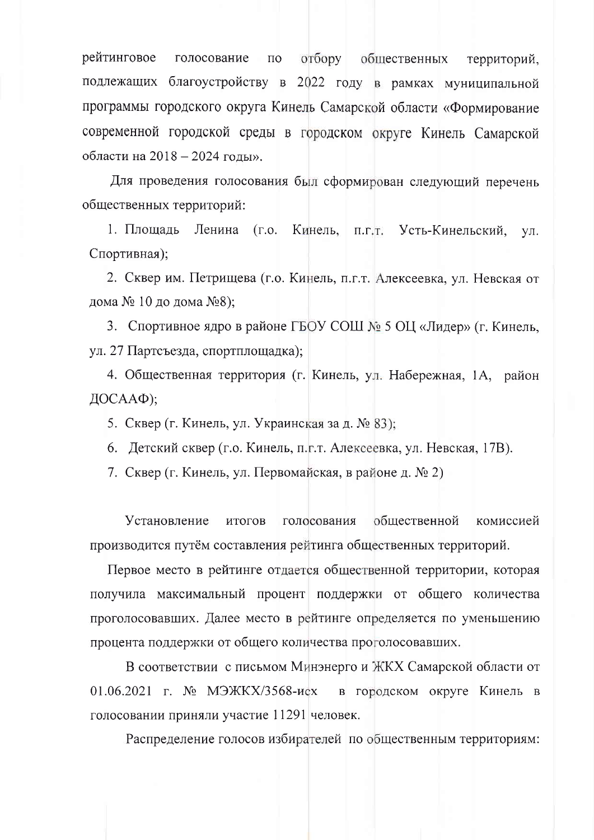рейтинговое отбору голосование общественных  $\Pi$ O территорий, подлежащих благоустройству в 2022 году в рамках муниципальной программы городского округа Кинель Самарской области «Формирование современной городской среды в городском округе Кинель Самарской области на 2018 – 2024 годы».

Для проведения голосования был сформирован следующий перечень общественных территорий:

1. Площадь Ленина  $(\Gamma.0.$ Кинель, п.г.т. Усть-Кинельский, VЛ. Спортивная);

2. Сквер им. Петрищева (г.о. Кинель, п.г.т. Алексеевка, ул. Невская от дома № 10 до дома №8);

3. Спортивное ядро в районе ГБОУ СОШ № 5 ОЦ «Лидер» (г. Кинель, ул. 27 Партсъезда, спортплощадка);

4. Общественная территория (г. Кинель, ул. Набережная, 1А, район ДОСААФ);

5. Сквер (г. Кинель, ул. Украинская за д. № 83);

6. Детский сквер (г.о. Кинель, п.г.т. Алексеевка, ул. Невская, 17В).

7. Сквер (г. Кинель, ул. Первомайская, в районе д. № 2)

Установление итогов голосования обшественной комиссией производится путём составления рейтинга общественных территорий.

Первое место в рейтинге отдается общественной территории, которая получила максимальный процент поддержки от общего количества проголосовавших. Далее место в рейтинге определяется по уменьшению процента поддержки от общего количества проголосовавших.

В соответствии с письмом Минэнерго и ЖКХ Самарской области от 01.06.2021 г. № МЭЖКХ/3568-исх в городском округе Кинель в голосовании приняли участие 11291 человек.

Распределение голосов избирателей по общественным территориям: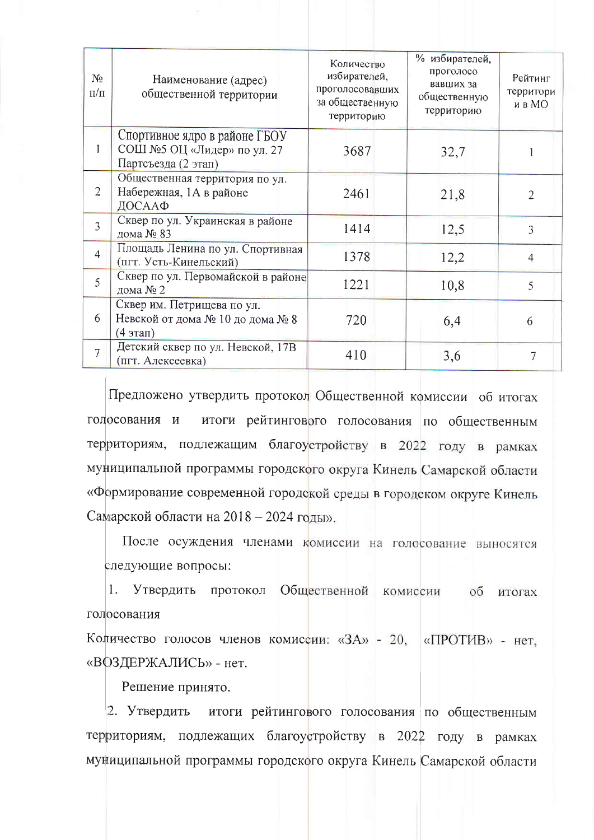| N <sub>2</sub><br>$\Pi/\Pi$ | Наименование (адрес)<br>общественной территории                                     | Количество<br>избирателей,<br>проголосовавших<br>за общественную<br>территорию | % избирателей,<br>проголосо<br>вавших за<br>общественную<br>территорию | Рейтинг<br>территори<br>и в МО |
|-----------------------------|-------------------------------------------------------------------------------------|--------------------------------------------------------------------------------|------------------------------------------------------------------------|--------------------------------|
| $\mathbf{1}$                | Спортивное ядро в районе ГБОУ<br>СОШ №5 ОЦ «Лидер» по ул. 27<br>Партсъезда (2 этап) | 3687                                                                           | 32,7                                                                   |                                |
| $\overline{2}$              | Общественная территория по ул.<br>Набережная, 1А в районе<br>ДОСААФ                 | 2461                                                                           | 21,8                                                                   | $\overline{2}$                 |
| $\overline{3}$              | Сквер по ул. Украинская в районе<br>дома № 83                                       | 1414                                                                           | 12,5                                                                   | $\overline{3}$                 |
| $\overline{4}$              | Площадь Ленина по ул. Спортивная<br>(пгт. Усть-Кинельский)                          | 1378                                                                           | 12,2                                                                   | $\overline{4}$                 |
| 5                           | Сквер по ул. Первомайской в районе<br>дома № 2                                      | 1221                                                                           | 10,8                                                                   | 5                              |
| 6                           | Сквер им. Петрищева по ул.<br>Невской от дома № 10 до дома № 8<br>(4 этап)          | 720                                                                            | 6,4                                                                    | 6                              |
| $\overline{7}$              | Детский сквер по ул. Невской, 17В<br>(пгт. Алексеевка)                              | 410                                                                            | 3,6                                                                    | 7                              |

Предложено утвердить протокол Общественной комиссии об итогах итоги рейтингового голосования по общественным голосования и территориям, подлежащим благоустройству в 2022 году в рамках муниципальной программы городского округа Кинель Самарской области «Формирование современной городской среды в городском округе Кинель Самарской области на 2018 – 2024 годы».

После осуждения членами комиссии на голосование выносятся следующие вопросы:

 $1.$ Утвердить протокол Общественной комиссии об итогах голосования

Количество голосов членов комиссии: «ЗА» - 20, «ПРОТИВ» - нет, «ВОЗДЕРЖАЛИСЬ» - нет.

Решение принято.

2. Утвердить итоги рейтингового голосования по общественным территориям, подлежащих благоустройству в 2022 году в рамках муниципальной программы городского округа Кинель Самарской области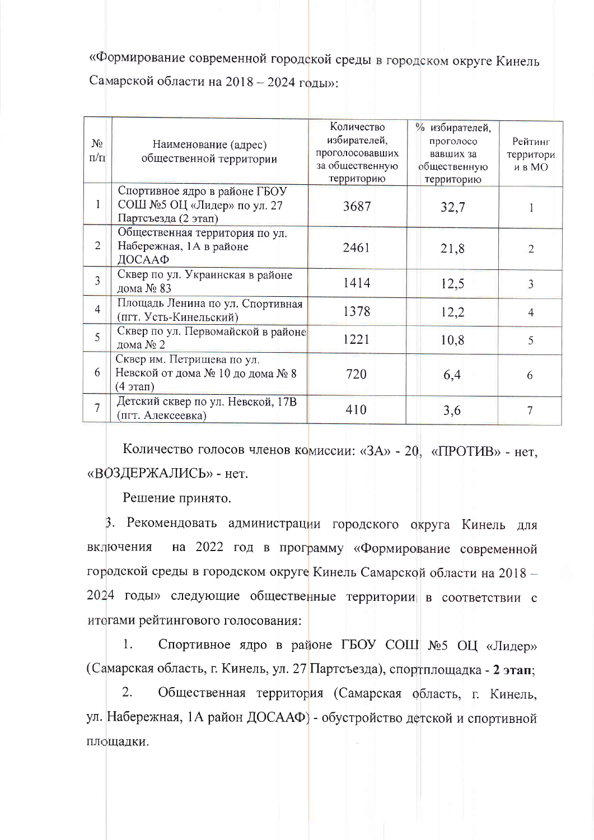«Формирование современной городской среды в городском округе Кинель Самарской области на 2018 - 2024 годы»:

| $N_2$<br>$\Pi/\Pi$ | Наименование (адрес)<br>общественной территории                                           | Количество<br>избирателей,<br>проголосовавших<br>за общественную<br>территорию | % избирателей,<br>проголосо<br>вавших за<br>общественную<br>территорию | Рейтинг<br>территори<br>и в МО |
|--------------------|-------------------------------------------------------------------------------------------|--------------------------------------------------------------------------------|------------------------------------------------------------------------|--------------------------------|
| 1                  | Спортивное ядро в районе ГБОУ<br>СОШ №5 ОЦ «Лидер» по ул. 27<br>Партсъезда (2 этап)       | 3687                                                                           | 32,7                                                                   |                                |
| $\overline{2}$     | Общественная территория по ул.<br>Набережная, 1А в районе<br>ДОСААФ                       | 2461                                                                           | 21,8                                                                   | $\overline{2}$                 |
| $\overline{3}$     | Сквер по ул. Украинская в районе<br>дома № 83                                             | 1414                                                                           | 12,5                                                                   | 3                              |
| $\overline{4}$     | Площадь Ленина по ул. Спортивная<br>(пгт. Усть-Кинельский)                                | 1378                                                                           | 12,2                                                                   | 4                              |
| 5                  | Сквер по ул. Первомайской в районе<br>дома № 2                                            | 1221                                                                           | 10,8                                                                   | 5                              |
| 6                  | Сквер им. Петрищева по ул.<br>Невской от дома № 10 до дома № 8<br>$(4 \text{3} \text{5})$ | 720                                                                            | 6,4                                                                    | 6                              |
| $\overline{7}$     | Детский сквер по ул. Невской, 17В<br>(пгт. Алексеевка)                                    | 410                                                                            | 3,6                                                                    | 7                              |

Количество голосов членов комиссии: «ЗА» - 20, «ПРОТИВ» - нет, «ВОЗДЕРЖАЛИСЬ» - нет.

Решение принято.

3. Рекомендовать администрации городского округа Кинель для на 2022 год в программу «Формирование современной включения городской среды в городском округе Кинель Самарской области на 2018 -2024 годы» следующие общественные территории в соответствии с итогами рейтингового голосования:

Спортивное ядро в районе ГБОУ СОЩ №5 ОЦ «Лидер»  $\mathbf{1}$ . (Самарская область, г. Кинель, ул. 27 Партсъезда), спортплощадка - 2 этап;

Общественная территория (Самарская область, г. Кинель, 2. ул. Набережная, 1А район ДОСААФ) - обустройство детской и спортивной площадки.